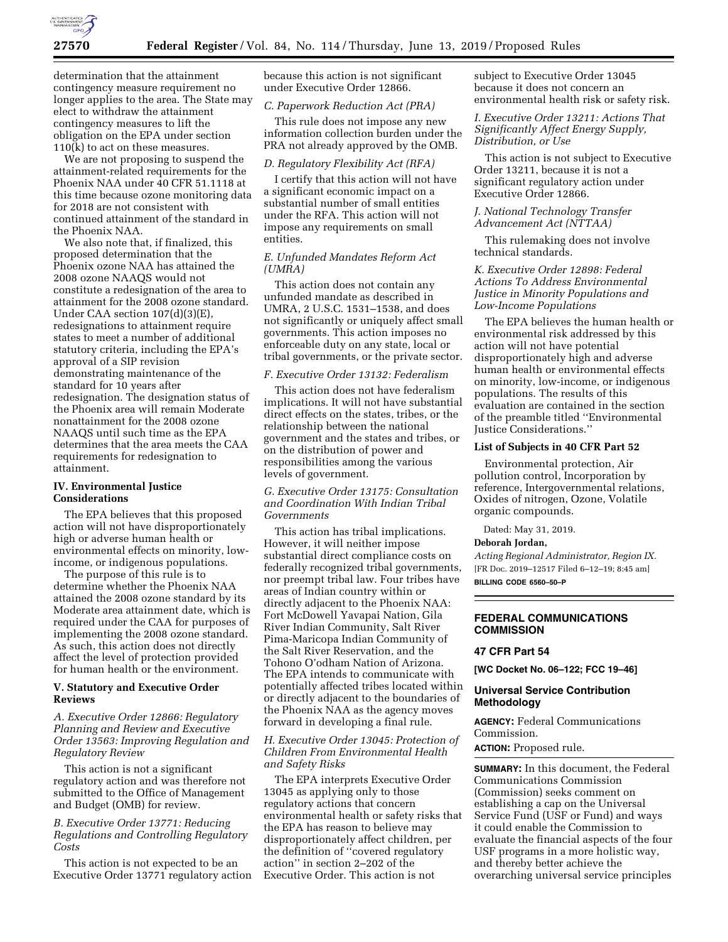

determination that the attainment contingency measure requirement no longer applies to the area. The State may elect to withdraw the attainment contingency measures to lift the obligation on the EPA under section 110(k) to act on these measures.

We are not proposing to suspend the attainment-related requirements for the Phoenix NAA under 40 CFR 51.1118 at this time because ozone monitoring data for 2018 are not consistent with continued attainment of the standard in the Phoenix NAA.

We also note that, if finalized, this proposed determination that the Phoenix ozone NAA has attained the 2008 ozone NAAQS would not constitute a redesignation of the area to attainment for the 2008 ozone standard. Under CAA section 107(d)(3)(E), redesignations to attainment require states to meet a number of additional statutory criteria, including the EPA's approval of a SIP revision demonstrating maintenance of the standard for 10 years after redesignation. The designation status of the Phoenix area will remain Moderate nonattainment for the 2008 ozone NAAQS until such time as the EPA determines that the area meets the CAA requirements for redesignation to attainment.

## **IV. Environmental Justice Considerations**

The EPA believes that this proposed action will not have disproportionately high or adverse human health or environmental effects on minority, lowincome, or indigenous populations.

The purpose of this rule is to determine whether the Phoenix NAA attained the 2008 ozone standard by its Moderate area attainment date, which is required under the CAA for purposes of implementing the 2008 ozone standard. As such, this action does not directly affect the level of protection provided for human health or the environment.

# **V. Statutory and Executive Order Reviews**

*A. Executive Order 12866: Regulatory Planning and Review and Executive Order 13563: Improving Regulation and Regulatory Review* 

This action is not a significant regulatory action and was therefore not submitted to the Office of Management and Budget (OMB) for review.

*B. Executive Order 13771: Reducing Regulations and Controlling Regulatory Costs* 

This action is not expected to be an Executive Order 13771 regulatory action because this action is not significant under Executive Order 12866.

# *C. Paperwork Reduction Act (PRA)*

This rule does not impose any new information collection burden under the PRA not already approved by the OMB.

## *D. Regulatory Flexibility Act (RFA)*

I certify that this action will not have a significant economic impact on a substantial number of small entities under the RFA. This action will not impose any requirements on small entities.

## *E. Unfunded Mandates Reform Act (UMRA)*

This action does not contain any unfunded mandate as described in UMRA, 2 U.S.C. 1531–1538, and does not significantly or uniquely affect small governments. This action imposes no enforceable duty on any state, local or tribal governments, or the private sector.

# *F. Executive Order 13132: Federalism*

This action does not have federalism implications. It will not have substantial direct effects on the states, tribes, or the relationship between the national government and the states and tribes, or on the distribution of power and responsibilities among the various levels of government.

*G. Executive Order 13175: Consultation and Coordination With Indian Tribal Governments* 

This action has tribal implications. However, it will neither impose substantial direct compliance costs on federally recognized tribal governments, nor preempt tribal law. Four tribes have areas of Indian country within or directly adjacent to the Phoenix NAA: Fort McDowell Yavapai Nation, Gila River Indian Community, Salt River Pima-Maricopa Indian Community of the Salt River Reservation, and the Tohono O'odham Nation of Arizona. The EPA intends to communicate with potentially affected tribes located within or directly adjacent to the boundaries of the Phoenix NAA as the agency moves forward in developing a final rule.

## *H. Executive Order 13045: Protection of Children From Environmental Health and Safety Risks*

The EPA interprets Executive Order 13045 as applying only to those regulatory actions that concern environmental health or safety risks that the EPA has reason to believe may disproportionately affect children, per the definition of ''covered regulatory action'' in section 2–202 of the Executive Order. This action is not

subject to Executive Order 13045 because it does not concern an environmental health risk or safety risk.

*I. Executive Order 13211: Actions That Significantly Affect Energy Supply, Distribution, or Use* 

This action is not subject to Executive Order 13211, because it is not a significant regulatory action under Executive Order 12866.

## *J. National Technology Transfer Advancement Act (NTTAA)*

This rulemaking does not involve technical standards.

# *K. Executive Order 12898: Federal Actions To Address Environmental Justice in Minority Populations and Low-Income Populations*

The EPA believes the human health or environmental risk addressed by this action will not have potential disproportionately high and adverse human health or environmental effects on minority, low-income, or indigenous populations. The results of this evaluation are contained in the section of the preamble titled ''Environmental Justice Considerations.''

## **List of Subjects in 40 CFR Part 52**

Environmental protection, Air pollution control, Incorporation by reference, Intergovernmental relations, Oxides of nitrogen, Ozone, Volatile organic compounds.

Dated: May 31, 2019.

## **Deborah Jordan,**

*Acting Regional Administrator, Region IX.*  [FR Doc. 2019–12517 Filed 6–12–19; 8:45 am] **BILLING CODE 6560–50–P** 

## **FEDERAL COMMUNICATIONS COMMISSION**

#### **47 CFR Part 54**

**[WC Docket No. 06–122; FCC 19–46]** 

# **Universal Service Contribution Methodology**

**AGENCY:** Federal Communications Commission.

**ACTION:** Proposed rule.

**SUMMARY:** In this document, the Federal Communications Commission (Commission) seeks comment on establishing a cap on the Universal Service Fund (USF or Fund) and ways it could enable the Commission to evaluate the financial aspects of the four USF programs in a more holistic way, and thereby better achieve the overarching universal service principles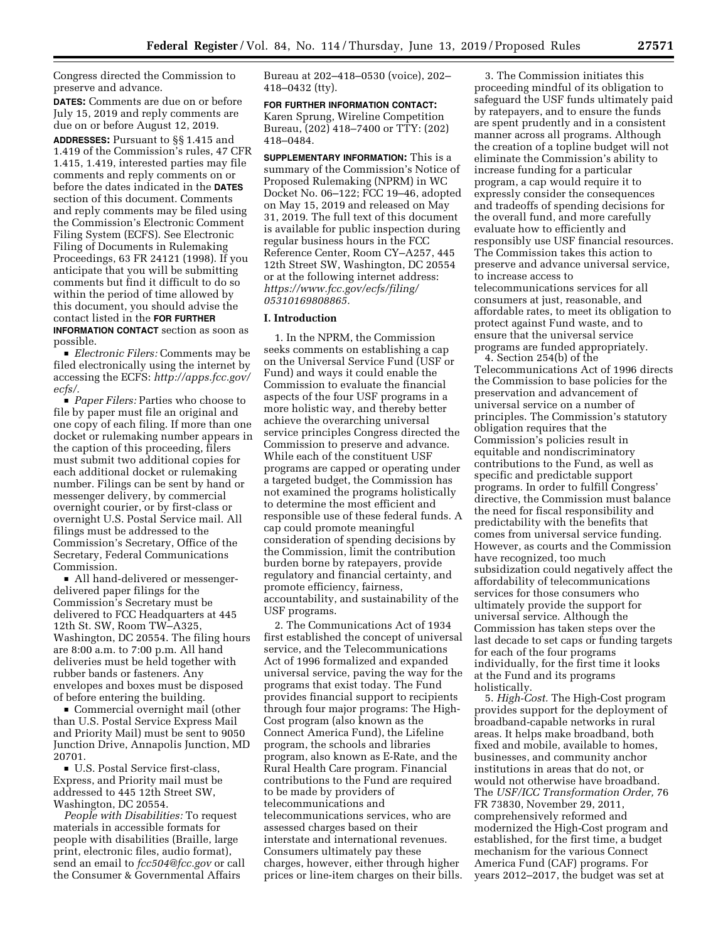Congress directed the Commission to preserve and advance.

**DATES:** Comments are due on or before July 15, 2019 and reply comments are due on or before August 12, 2019.

**ADDRESSES:** Pursuant to §§ 1.415 and 1.419 of the Commission's rules, 47 CFR 1.415, 1.419, interested parties may file comments and reply comments on or before the dates indicated in the **DATES** section of this document. Comments and reply comments may be filed using the Commission's Electronic Comment Filing System (ECFS). See Electronic Filing of Documents in Rulemaking Proceedings, 63 FR 24121 (1998). If you anticipate that you will be submitting comments but find it difficult to do so within the period of time allowed by this document, you should advise the contact listed in the **FOR FURTHER INFORMATION CONTACT** section as soon as possible.

■ *Electronic Filers:* Comments may be filed electronically using the internet by accessing the ECFS: *[http://apps.fcc.gov/](http://apps.fcc.gov/ecfs/)  [ecfs/.](http://apps.fcc.gov/ecfs/)* 

■ *Paper Filers:* Parties who choose to file by paper must file an original and one copy of each filing. If more than one docket or rulemaking number appears in the caption of this proceeding, filers must submit two additional copies for each additional docket or rulemaking number. Filings can be sent by hand or messenger delivery, by commercial overnight courier, or by first-class or overnight U.S. Postal Service mail. All filings must be addressed to the Commission's Secretary, Office of the Secretary, Federal Communications Commission.

 $\blacksquare$  All hand-delivered or messengerdelivered paper filings for the Commission's Secretary must be delivered to FCC Headquarters at 445 12th St. SW, Room TW–A325, Washington, DC 20554. The filing hours are 8:00 a.m. to 7:00 p.m. All hand deliveries must be held together with rubber bands or fasteners. Any envelopes and boxes must be disposed of before entering the building.

 $\blacksquare$  Commercial overnight mail (other than U.S. Postal Service Express Mail and Priority Mail) must be sent to 9050 Junction Drive, Annapolis Junction, MD 20701.

■ U.S. Postal Service first-class, Express, and Priority mail must be addressed to 445 12th Street SW, Washington, DC 20554.

*People with Disabilities:* To request materials in accessible formats for people with disabilities (Braille, large print, electronic files, audio format), send an email to *[fcc504@fcc.gov](mailto:fcc504@fcc.gov)* or call the Consumer & Governmental Affairs

Bureau at 202–418–0530 (voice), 202– 418–0432 (tty).

**FOR FURTHER INFORMATION CONTACT:**  Karen Sprung, Wireline Competition Bureau, (202) 418–7400 or TTY: (202) 418–0484.

**SUPPLEMENTARY INFORMATION:** This is a summary of the Commission's Notice of Proposed Rulemaking (NPRM) in WC Docket No. 06–122; FCC 19–46, adopted on May 15, 2019 and released on May 31, 2019. The full text of this document is available for public inspection during regular business hours in the FCC Reference Center, Room CY–A257, 445 12th Street SW, Washington, DC 20554 or at the following internet address: *[https://www.fcc.gov/ecfs/filing/](https://www.fcc.gov/ecfs/filing/05310169808865) [05310169808865.](https://www.fcc.gov/ecfs/filing/05310169808865)* 

## **I. Introduction**

1. In the NPRM, the Commission seeks comments on establishing a cap on the Universal Service Fund (USF or Fund) and ways it could enable the Commission to evaluate the financial aspects of the four USF programs in a more holistic way, and thereby better achieve the overarching universal service principles Congress directed the Commission to preserve and advance. While each of the constituent USF programs are capped or operating under a targeted budget, the Commission has not examined the programs holistically to determine the most efficient and responsible use of these federal funds. A cap could promote meaningful consideration of spending decisions by the Commission, limit the contribution burden borne by ratepayers, provide regulatory and financial certainty, and promote efficiency, fairness, accountability, and sustainability of the USF programs.

2. The Communications Act of 1934 first established the concept of universal service, and the Telecommunications Act of 1996 formalized and expanded universal service, paving the way for the programs that exist today. The Fund provides financial support to recipients through four major programs: The High-Cost program (also known as the Connect America Fund), the Lifeline program, the schools and libraries program, also known as E-Rate, and the Rural Health Care program. Financial contributions to the Fund are required to be made by providers of telecommunications and telecommunications services, who are assessed charges based on their interstate and international revenues. Consumers ultimately pay these charges, however, either through higher prices or line-item charges on their bills.

3. The Commission initiates this proceeding mindful of its obligation to safeguard the USF funds ultimately paid by ratepayers, and to ensure the funds are spent prudently and in a consistent manner across all programs. Although the creation of a topline budget will not eliminate the Commission's ability to increase funding for a particular program, a cap would require it to expressly consider the consequences and tradeoffs of spending decisions for the overall fund, and more carefully evaluate how to efficiently and responsibly use USF financial resources. The Commission takes this action to preserve and advance universal service, to increase access to telecommunications services for all consumers at just, reasonable, and affordable rates, to meet its obligation to protect against Fund waste, and to ensure that the universal service programs are funded appropriately.

4. Section 254(b) of the Telecommunications Act of 1996 directs the Commission to base policies for the preservation and advancement of universal service on a number of principles. The Commission's statutory obligation requires that the Commission's policies result in equitable and nondiscriminatory contributions to the Fund, as well as specific and predictable support programs. In order to fulfill Congress' directive, the Commission must balance the need for fiscal responsibility and predictability with the benefits that comes from universal service funding. However, as courts and the Commission have recognized, too much subsidization could negatively affect the affordability of telecommunications services for those consumers who ultimately provide the support for universal service. Although the Commission has taken steps over the last decade to set caps or funding targets for each of the four programs individually, for the first time it looks at the Fund and its programs holistically.

5. *High-Cost.* The High-Cost program provides support for the deployment of broadband-capable networks in rural areas. It helps make broadband, both fixed and mobile, available to homes, businesses, and community anchor institutions in areas that do not, or would not otherwise have broadband. The *USF/ICC Transformation Order,* 76 FR 73830, November 29, 2011, comprehensively reformed and modernized the High-Cost program and established, for the first time, a budget mechanism for the various Connect America Fund (CAF) programs. For years 2012–2017, the budget was set at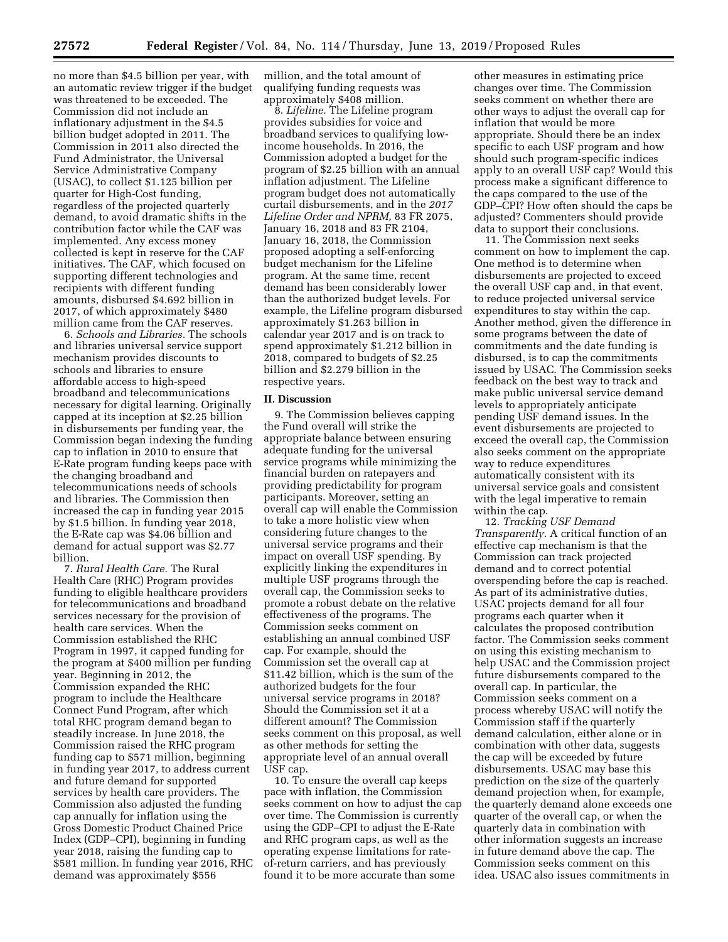no more than \$4.5 billion per year, with an automatic review trigger if the budget was threatened to be exceeded. The Commission did not include an inflationary adjustment in the \$4.5 billion budget adopted in 2011. The Commission in 2011 also directed the Fund Administrator, the Universal Service Administrative Company (USAC), to collect \$1.125 billion per quarter for High-Cost funding, regardless of the projected quarterly demand, to avoid dramatic shifts in the contribution factor while the CAF was implemented. Any excess money collected is kept in reserve for the CAF initiatives. The CAF, which focused on supporting different technologies and recipients with different funding amounts, disbursed \$4.692 billion in 2017, of which approximately \$480 million came from the CAF reserves.

6. *Schools and Libraries.* The schools and libraries universal service support mechanism provides discounts to schools and libraries to ensure affordable access to high-speed broadband and telecommunications necessary for digital learning. Originally capped at its inception at \$2.25 billion in disbursements per funding year, the Commission began indexing the funding cap to inflation in 2010 to ensure that E-Rate program funding keeps pace with the changing broadband and telecommunications needs of schools and libraries. The Commission then increased the cap in funding year 2015 by \$1.5 billion. In funding year 2018, the E-Rate cap was \$4.06 billion and demand for actual support was \$2.77 billion.

7. *Rural Health Care.* The Rural Health Care (RHC) Program provides funding to eligible healthcare providers for telecommunications and broadband services necessary for the provision of health care services. When the Commission established the RHC Program in 1997, it capped funding for the program at \$400 million per funding year. Beginning in 2012, the Commission expanded the RHC program to include the Healthcare Connect Fund Program, after which total RHC program demand began to steadily increase. In June 2018, the Commission raised the RHC program funding cap to \$571 million, beginning in funding year 2017, to address current and future demand for supported services by health care providers. The Commission also adjusted the funding cap annually for inflation using the Gross Domestic Product Chained Price Index (GDP–CPI), beginning in funding year 2018, raising the funding cap to \$581 million. In funding year 2016, RHC demand was approximately \$556

million, and the total amount of qualifying funding requests was approximately \$408 million.

8. *Lifeline.* The Lifeline program provides subsidies for voice and broadband services to qualifying lowincome households. In 2016, the Commission adopted a budget for the program of \$2.25 billion with an annual inflation adjustment. The Lifeline program budget does not automatically curtail disbursements, and in the *2017 Lifeline Order and NPRM,* 83 FR 2075, January 16, 2018 and 83 FR 2104, January 16, 2018, the Commission proposed adopting a self-enforcing budget mechanism for the Lifeline program. At the same time, recent demand has been considerably lower than the authorized budget levels. For example, the Lifeline program disbursed approximately \$1.263 billion in calendar year 2017 and is on track to spend approximately \$1.212 billion in 2018, compared to budgets of \$2.25 billion and \$2.279 billion in the respective years.

#### **II. Discussion**

9. The Commission believes capping the Fund overall will strike the appropriate balance between ensuring adequate funding for the universal service programs while minimizing the financial burden on ratepayers and providing predictability for program participants. Moreover, setting an overall cap will enable the Commission to take a more holistic view when considering future changes to the universal service programs and their impact on overall USF spending. By explicitly linking the expenditures in multiple USF programs through the overall cap, the Commission seeks to promote a robust debate on the relative effectiveness of the programs. The Commission seeks comment on establishing an annual combined USF cap. For example, should the Commission set the overall cap at \$11.42 billion, which is the sum of the authorized budgets for the four universal service programs in 2018? Should the Commission set it at a different amount? The Commission seeks comment on this proposal, as well as other methods for setting the appropriate level of an annual overall USF cap.

10. To ensure the overall cap keeps pace with inflation, the Commission seeks comment on how to adjust the cap over time. The Commission is currently using the GDP–CPI to adjust the E-Rate and RHC program caps, as well as the operating expense limitations for rateof-return carriers, and has previously found it to be more accurate than some

other measures in estimating price changes over time. The Commission seeks comment on whether there are other ways to adjust the overall cap for inflation that would be more appropriate. Should there be an index specific to each USF program and how should such program-specific indices apply to an overall USF cap? Would this process make a significant difference to the caps compared to the use of the GDP–CPI? How often should the caps be adjusted? Commenters should provide data to support their conclusions.

11. The Commission next seeks comment on how to implement the cap. One method is to determine when disbursements are projected to exceed the overall USF cap and, in that event, to reduce projected universal service expenditures to stay within the cap. Another method, given the difference in some programs between the date of commitments and the date funding is disbursed, is to cap the commitments issued by USAC. The Commission seeks feedback on the best way to track and make public universal service demand levels to appropriately anticipate pending USF demand issues. In the event disbursements are projected to exceed the overall cap, the Commission also seeks comment on the appropriate way to reduce expenditures automatically consistent with its universal service goals and consistent with the legal imperative to remain within the cap.

12. *Tracking USF Demand Transparently.* A critical function of an effective cap mechanism is that the Commission can track projected demand and to correct potential overspending before the cap is reached. As part of its administrative duties, USAC projects demand for all four programs each quarter when it calculates the proposed contribution factor. The Commission seeks comment on using this existing mechanism to help USAC and the Commission project future disbursements compared to the overall cap. In particular, the Commission seeks comment on a process whereby USAC will notify the Commission staff if the quarterly demand calculation, either alone or in combination with other data, suggests the cap will be exceeded by future disbursements. USAC may base this prediction on the size of the quarterly demand projection when, for example, the quarterly demand alone exceeds one quarter of the overall cap, or when the quarterly data in combination with other information suggests an increase in future demand above the cap. The Commission seeks comment on this idea. USAC also issues commitments in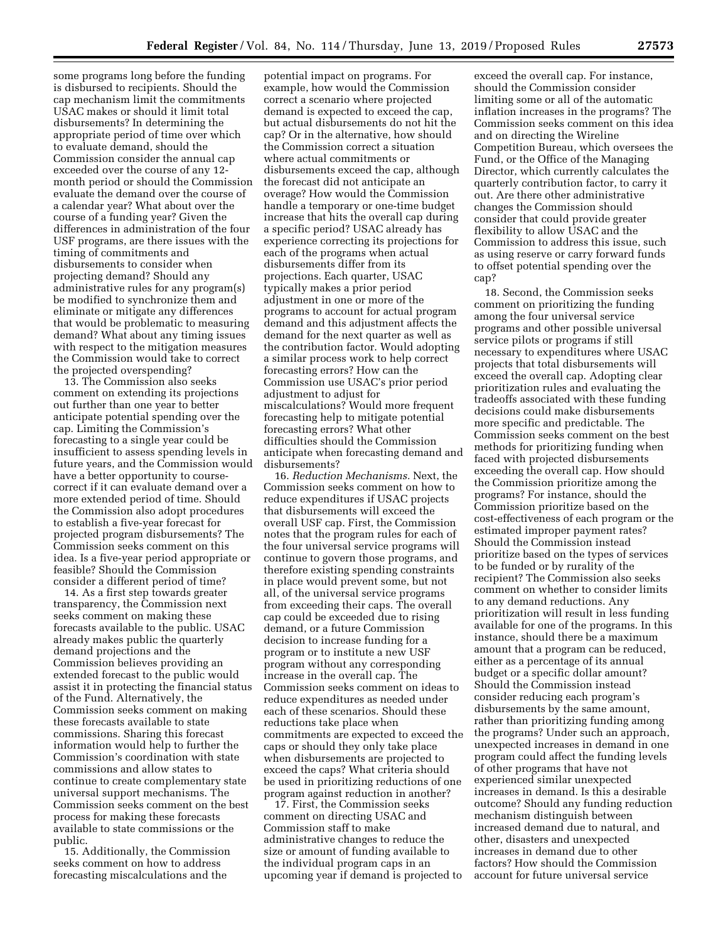some programs long before the funding is disbursed to recipients. Should the cap mechanism limit the commitments USAC makes or should it limit total disbursements? In determining the appropriate period of time over which to evaluate demand, should the Commission consider the annual cap exceeded over the course of any 12 month period or should the Commission evaluate the demand over the course of a calendar year? What about over the course of a funding year? Given the differences in administration of the four USF programs, are there issues with the timing of commitments and disbursements to consider when projecting demand? Should any administrative rules for any program(s) be modified to synchronize them and eliminate or mitigate any differences that would be problematic to measuring demand? What about any timing issues with respect to the mitigation measures the Commission would take to correct the projected overspending?

13. The Commission also seeks comment on extending its projections out further than one year to better anticipate potential spending over the cap. Limiting the Commission's forecasting to a single year could be insufficient to assess spending levels in future years, and the Commission would have a better opportunity to coursecorrect if it can evaluate demand over a more extended period of time. Should the Commission also adopt procedures to establish a five-year forecast for projected program disbursements? The Commission seeks comment on this idea. Is a five-year period appropriate or feasible? Should the Commission consider a different period of time?

14. As a first step towards greater transparency, the Commission next seeks comment on making these forecasts available to the public. USAC already makes public the quarterly demand projections and the Commission believes providing an extended forecast to the public would assist it in protecting the financial status of the Fund. Alternatively, the Commission seeks comment on making these forecasts available to state commissions. Sharing this forecast information would help to further the Commission's coordination with state commissions and allow states to continue to create complementary state universal support mechanisms. The Commission seeks comment on the best process for making these forecasts available to state commissions or the public.

15. Additionally, the Commission seeks comment on how to address forecasting miscalculations and the

potential impact on programs. For example, how would the Commission correct a scenario where projected demand is expected to exceed the cap, but actual disbursements do not hit the cap? Or in the alternative, how should the Commission correct a situation where actual commitments or disbursements exceed the cap, although the forecast did not anticipate an overage? How would the Commission handle a temporary or one-time budget increase that hits the overall cap during a specific period? USAC already has experience correcting its projections for each of the programs when actual disbursements differ from its projections. Each quarter, USAC typically makes a prior period adjustment in one or more of the programs to account for actual program demand and this adjustment affects the demand for the next quarter as well as the contribution factor. Would adopting a similar process work to help correct forecasting errors? How can the Commission use USAC's prior period adjustment to adjust for miscalculations? Would more frequent forecasting help to mitigate potential forecasting errors? What other difficulties should the Commission anticipate when forecasting demand and disbursements?

16. *Reduction Mechanisms.* Next, the Commission seeks comment on how to reduce expenditures if USAC projects that disbursements will exceed the overall USF cap. First, the Commission notes that the program rules for each of the four universal service programs will continue to govern those programs, and therefore existing spending constraints in place would prevent some, but not all, of the universal service programs from exceeding their caps. The overall cap could be exceeded due to rising demand, or a future Commission decision to increase funding for a program or to institute a new USF program without any corresponding increase in the overall cap. The Commission seeks comment on ideas to reduce expenditures as needed under each of these scenarios. Should these reductions take place when commitments are expected to exceed the caps or should they only take place when disbursements are projected to exceed the caps? What criteria should be used in prioritizing reductions of one program against reduction in another?

17. First, the Commission seeks comment on directing USAC and Commission staff to make administrative changes to reduce the size or amount of funding available to the individual program caps in an upcoming year if demand is projected to

exceed the overall cap. For instance, should the Commission consider limiting some or all of the automatic inflation increases in the programs? The Commission seeks comment on this idea and on directing the Wireline Competition Bureau, which oversees the Fund, or the Office of the Managing Director, which currently calculates the quarterly contribution factor, to carry it out. Are there other administrative changes the Commission should consider that could provide greater flexibility to allow USAC and the Commission to address this issue, such as using reserve or carry forward funds to offset potential spending over the cap?

18. Second, the Commission seeks comment on prioritizing the funding among the four universal service programs and other possible universal service pilots or programs if still necessary to expenditures where USAC projects that total disbursements will exceed the overall cap. Adopting clear prioritization rules and evaluating the tradeoffs associated with these funding decisions could make disbursements more specific and predictable. The Commission seeks comment on the best methods for prioritizing funding when faced with projected disbursements exceeding the overall cap. How should the Commission prioritize among the programs? For instance, should the Commission prioritize based on the cost-effectiveness of each program or the estimated improper payment rates? Should the Commission instead prioritize based on the types of services to be funded or by rurality of the recipient? The Commission also seeks comment on whether to consider limits to any demand reductions. Any prioritization will result in less funding available for one of the programs. In this instance, should there be a maximum amount that a program can be reduced, either as a percentage of its annual budget or a specific dollar amount? Should the Commission instead consider reducing each program's disbursements by the same amount, rather than prioritizing funding among the programs? Under such an approach, unexpected increases in demand in one program could affect the funding levels of other programs that have not experienced similar unexpected increases in demand. Is this a desirable outcome? Should any funding reduction mechanism distinguish between increased demand due to natural, and other, disasters and unexpected increases in demand due to other factors? How should the Commission account for future universal service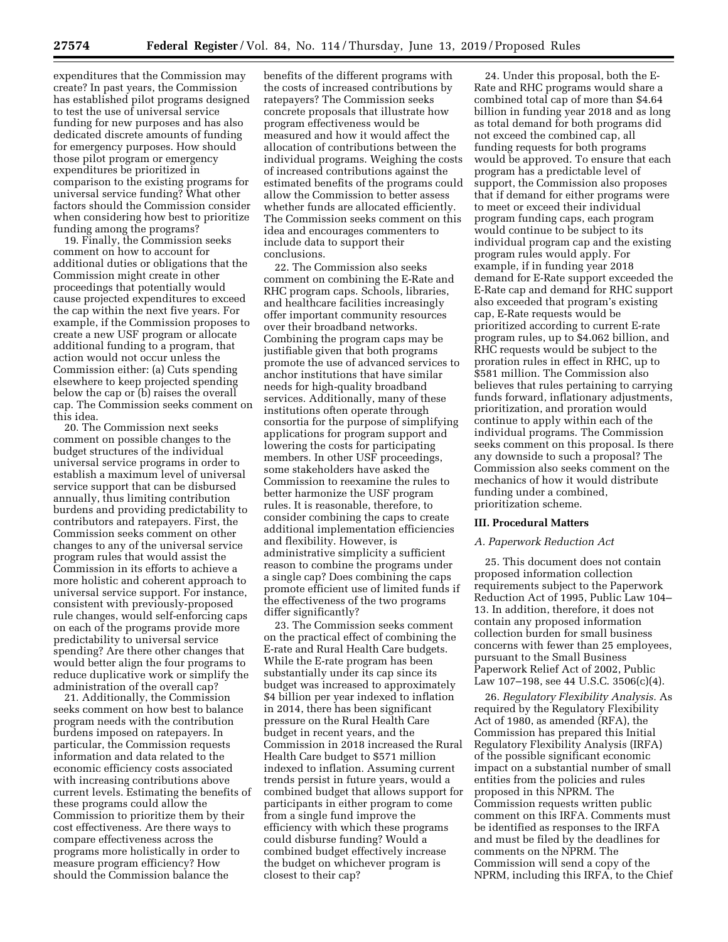expenditures that the Commission may create? In past years, the Commission has established pilot programs designed to test the use of universal service funding for new purposes and has also dedicated discrete amounts of funding for emergency purposes. How should those pilot program or emergency expenditures be prioritized in comparison to the existing programs for universal service funding? What other factors should the Commission consider when considering how best to prioritize funding among the programs?

19. Finally, the Commission seeks comment on how to account for additional duties or obligations that the Commission might create in other proceedings that potentially would cause projected expenditures to exceed the cap within the next five years. For example, if the Commission proposes to create a new USF program or allocate additional funding to a program, that action would not occur unless the Commission either: (a) Cuts spending elsewhere to keep projected spending below the cap or (b) raises the overall cap. The Commission seeks comment on this idea.

20. The Commission next seeks comment on possible changes to the budget structures of the individual universal service programs in order to establish a maximum level of universal service support that can be disbursed annually, thus limiting contribution burdens and providing predictability to contributors and ratepayers. First, the Commission seeks comment on other changes to any of the universal service program rules that would assist the Commission in its efforts to achieve a more holistic and coherent approach to universal service support. For instance, consistent with previously-proposed rule changes, would self-enforcing caps on each of the programs provide more predictability to universal service spending? Are there other changes that would better align the four programs to reduce duplicative work or simplify the administration of the overall cap?

21. Additionally, the Commission seeks comment on how best to balance program needs with the contribution burdens imposed on ratepayers. In particular, the Commission requests information and data related to the economic efficiency costs associated with increasing contributions above current levels. Estimating the benefits of these programs could allow the Commission to prioritize them by their cost effectiveness. Are there ways to compare effectiveness across the programs more holistically in order to measure program efficiency? How should the Commission balance the

benefits of the different programs with the costs of increased contributions by ratepayers? The Commission seeks concrete proposals that illustrate how program effectiveness would be measured and how it would affect the allocation of contributions between the individual programs. Weighing the costs of increased contributions against the estimated benefits of the programs could allow the Commission to better assess whether funds are allocated efficiently. The Commission seeks comment on this idea and encourages commenters to include data to support their conclusions.

22. The Commission also seeks comment on combining the E-Rate and RHC program caps. Schools, libraries, and healthcare facilities increasingly offer important community resources over their broadband networks. Combining the program caps may be justifiable given that both programs promote the use of advanced services to anchor institutions that have similar needs for high-quality broadband services. Additionally, many of these institutions often operate through consortia for the purpose of simplifying applications for program support and lowering the costs for participating members. In other USF proceedings, some stakeholders have asked the Commission to reexamine the rules to better harmonize the USF program rules. It is reasonable, therefore, to consider combining the caps to create additional implementation efficiencies and flexibility. However, is administrative simplicity a sufficient reason to combine the programs under a single cap? Does combining the caps promote efficient use of limited funds if the effectiveness of the two programs differ significantly?

23. The Commission seeks comment on the practical effect of combining the E-rate and Rural Health Care budgets. While the E-rate program has been substantially under its cap since its budget was increased to approximately \$4 billion per year indexed to inflation in 2014, there has been significant pressure on the Rural Health Care budget in recent years, and the Commission in 2018 increased the Rural Health Care budget to \$571 million indexed to inflation. Assuming current trends persist in future years, would a combined budget that allows support for participants in either program to come from a single fund improve the efficiency with which these programs could disburse funding? Would a combined budget effectively increase the budget on whichever program is closest to their cap?

24. Under this proposal, both the E-Rate and RHC programs would share a combined total cap of more than \$4.64 billion in funding year 2018 and as long as total demand for both programs did not exceed the combined cap, all funding requests for both programs would be approved. To ensure that each program has a predictable level of support, the Commission also proposes that if demand for either programs were to meet or exceed their individual program funding caps, each program would continue to be subject to its individual program cap and the existing program rules would apply. For example, if in funding year 2018 demand for E-Rate support exceeded the E-Rate cap and demand for RHC support also exceeded that program's existing cap, E-Rate requests would be prioritized according to current E-rate program rules, up to \$4.062 billion, and RHC requests would be subject to the proration rules in effect in RHC, up to \$581 million. The Commission also believes that rules pertaining to carrying funds forward, inflationary adjustments, prioritization, and proration would continue to apply within each of the individual programs. The Commission seeks comment on this proposal. Is there any downside to such a proposal? The Commission also seeks comment on the mechanics of how it would distribute funding under a combined, prioritization scheme.

#### **III. Procedural Matters**

### *A. Paperwork Reduction Act*

25. This document does not contain proposed information collection requirements subject to the Paperwork Reduction Act of 1995, Public Law 104– 13. In addition, therefore, it does not contain any proposed information collection burden for small business concerns with fewer than 25 employees, pursuant to the Small Business Paperwork Relief Act of 2002, Public Law 107–198, see 44 U.S.C. 3506(c)(4).

26. *Regulatory Flexibility Analysis.* As required by the Regulatory Flexibility Act of 1980, as amended (RFA), the Commission has prepared this Initial Regulatory Flexibility Analysis (IRFA) of the possible significant economic impact on a substantial number of small entities from the policies and rules proposed in this NPRM. The Commission requests written public comment on this IRFA. Comments must be identified as responses to the IRFA and must be filed by the deadlines for comments on the NPRM. The Commission will send a copy of the NPRM, including this IRFA, to the Chief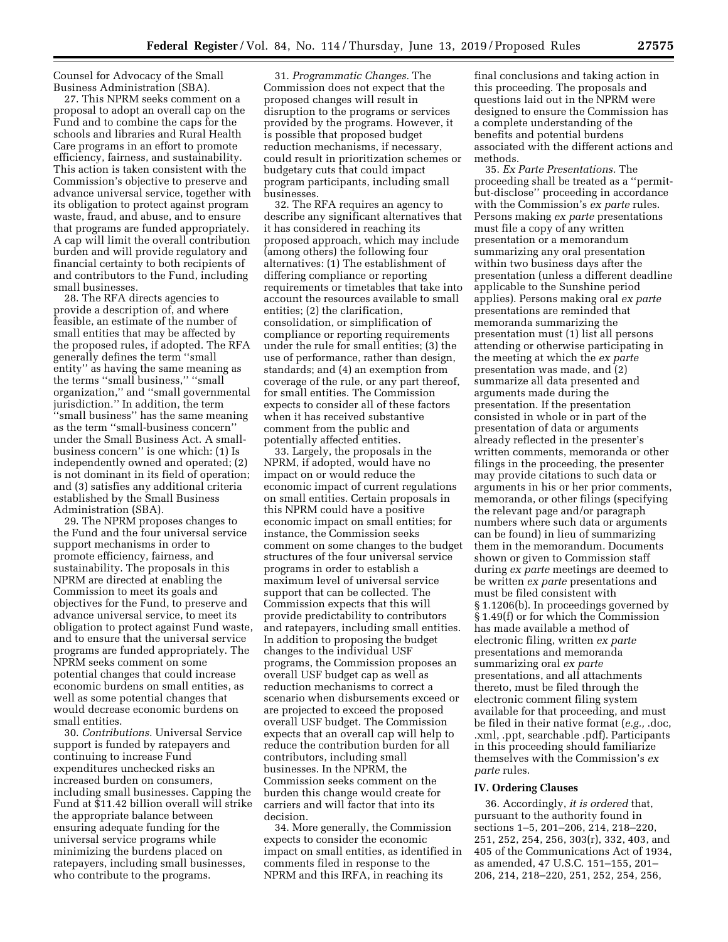Counsel for Advocacy of the Small Business Administration (SBA).

27. This NPRM seeks comment on a proposal to adopt an overall cap on the Fund and to combine the caps for the schools and libraries and Rural Health Care programs in an effort to promote efficiency, fairness, and sustainability. This action is taken consistent with the Commission's objective to preserve and advance universal service, together with its obligation to protect against program waste, fraud, and abuse, and to ensure that programs are funded appropriately. A cap will limit the overall contribution burden and will provide regulatory and financial certainty to both recipients of and contributors to the Fund, including small businesses.

28. The RFA directs agencies to provide a description of, and where feasible, an estimate of the number of small entities that may be affected by the proposed rules, if adopted. The RFA generally defines the term ''small entity'' as having the same meaning as the terms ''small business,'' ''small organization,'' and ''small governmental jurisdiction.'' In addition, the term ''small business'' has the same meaning as the term ''small-business concern'' under the Small Business Act. A smallbusiness concern'' is one which: (1) Is independently owned and operated; (2) is not dominant in its field of operation; and (3) satisfies any additional criteria established by the Small Business Administration (SBA).

29. The NPRM proposes changes to the Fund and the four universal service support mechanisms in order to promote efficiency, fairness, and sustainability. The proposals in this NPRM are directed at enabling the Commission to meet its goals and objectives for the Fund, to preserve and advance universal service, to meet its obligation to protect against Fund waste, and to ensure that the universal service programs are funded appropriately. The NPRM seeks comment on some potential changes that could increase economic burdens on small entities, as well as some potential changes that would decrease economic burdens on small entities.

30. *Contributions.* Universal Service support is funded by ratepayers and continuing to increase Fund expenditures unchecked risks an increased burden on consumers, including small businesses. Capping the Fund at \$11.42 billion overall will strike the appropriate balance between ensuring adequate funding for the universal service programs while minimizing the burdens placed on ratepayers, including small businesses, who contribute to the programs.

31. *Programmatic Changes.* The Commission does not expect that the proposed changes will result in disruption to the programs or services provided by the programs. However, it is possible that proposed budget reduction mechanisms, if necessary, could result in prioritization schemes or budgetary cuts that could impact program participants, including small businesses.

32. The RFA requires an agency to describe any significant alternatives that it has considered in reaching its proposed approach, which may include (among others) the following four alternatives: (1) The establishment of differing compliance or reporting requirements or timetables that take into account the resources available to small entities; (2) the clarification, consolidation, or simplification of compliance or reporting requirements under the rule for small entities; (3) the use of performance, rather than design, standards; and (4) an exemption from coverage of the rule, or any part thereof, for small entities. The Commission expects to consider all of these factors when it has received substantive comment from the public and potentially affected entities.

33. Largely, the proposals in the NPRM, if adopted, would have no impact on or would reduce the economic impact of current regulations on small entities. Certain proposals in this NPRM could have a positive economic impact on small entities; for instance, the Commission seeks comment on some changes to the budget structures of the four universal service programs in order to establish a maximum level of universal service support that can be collected. The Commission expects that this will provide predictability to contributors and ratepayers, including small entities. In addition to proposing the budget changes to the individual USF programs, the Commission proposes an overall USF budget cap as well as reduction mechanisms to correct a scenario when disbursements exceed or are projected to exceed the proposed overall USF budget. The Commission expects that an overall cap will help to reduce the contribution burden for all contributors, including small businesses. In the NPRM, the Commission seeks comment on the burden this change would create for carriers and will factor that into its decision.

34. More generally, the Commission expects to consider the economic impact on small entities, as identified in comments filed in response to the NPRM and this IRFA, in reaching its

final conclusions and taking action in this proceeding. The proposals and questions laid out in the NPRM were designed to ensure the Commission has a complete understanding of the benefits and potential burdens associated with the different actions and methods.

35. *Ex Parte Presentations.* The proceeding shall be treated as a ''permitbut-disclose'' proceeding in accordance with the Commission's *ex parte* rules. Persons making *ex parte* presentations must file a copy of any written presentation or a memorandum summarizing any oral presentation within two business days after the presentation (unless a different deadline applicable to the Sunshine period applies). Persons making oral *ex parte*  presentations are reminded that memoranda summarizing the presentation must (1) list all persons attending or otherwise participating in the meeting at which the *ex parte*  presentation was made, and (2) summarize all data presented and arguments made during the presentation. If the presentation consisted in whole or in part of the presentation of data or arguments already reflected in the presenter's written comments, memoranda or other filings in the proceeding, the presenter may provide citations to such data or arguments in his or her prior comments, memoranda, or other filings (specifying the relevant page and/or paragraph numbers where such data or arguments can be found) in lieu of summarizing them in the memorandum. Documents shown or given to Commission staff during *ex parte* meetings are deemed to be written *ex parte* presentations and must be filed consistent with § 1.1206(b). In proceedings governed by § 1.49(f) or for which the Commission has made available a method of electronic filing, written *ex parte*  presentations and memoranda summarizing oral *ex parte*  presentations, and all attachments thereto, must be filed through the electronic comment filing system available for that proceeding, and must be filed in their native format (*e.g.,* .doc, .xml, .ppt, searchable .pdf). Participants in this proceeding should familiarize themselves with the Commission's *ex parte* rules.

### **IV. Ordering Clauses**

36. Accordingly, *it is ordered* that, pursuant to the authority found in sections 1–5, 201–206, 214, 218–220, 251, 252, 254, 256, 303(r), 332, 403, and 405 of the Communications Act of 1934, as amended, 47 U.S.C. 151–155, 201– 206, 214, 218–220, 251, 252, 254, 256,